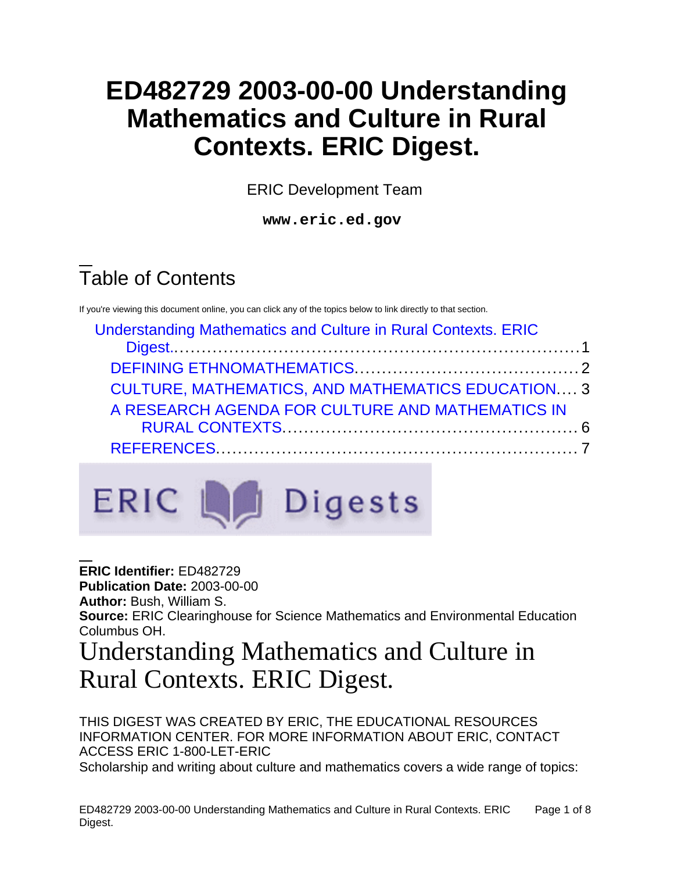# **ED482729 2003-00-00 Understanding Mathematics and Culture in Rural Contexts. ERIC Digest.**

ERIC Development Team

**www.eric.ed.gov**

# Table of Contents

If you're viewing this document online, you can click any of the topics below to link directly to that section.

| <b>Understanding Mathematics and Culture in Rural Contexts. ERIC</b> |  |
|----------------------------------------------------------------------|--|
|                                                                      |  |
|                                                                      |  |
| <b>CULTURE, MATHEMATICS, AND MATHEMATICS EDUCATION 3</b>             |  |
| A RESEARCH AGENDA FOR CULTURE AND MATHEMATICS IN                     |  |
|                                                                      |  |
|                                                                      |  |



**ERIC Identifier:** ED482729 **Publication Date:** 2003-00-00 **Author:** Bush, William S. **Source:** ERIC Clearinghouse for Science Mathematics and Environmental Education Columbus OH.

## <span id="page-0-0"></span>Understanding Mathematics and Culture in Rural Contexts. ERIC Digest.

THIS DIGEST WAS CREATED BY ERIC, THE EDUCATIONAL RESOURCES INFORMATION CENTER. FOR MORE INFORMATION ABOUT ERIC, CONTACT ACCESS ERIC 1-800-LET-ERIC Scholarship and writing about culture and mathematics covers a wide range of topics: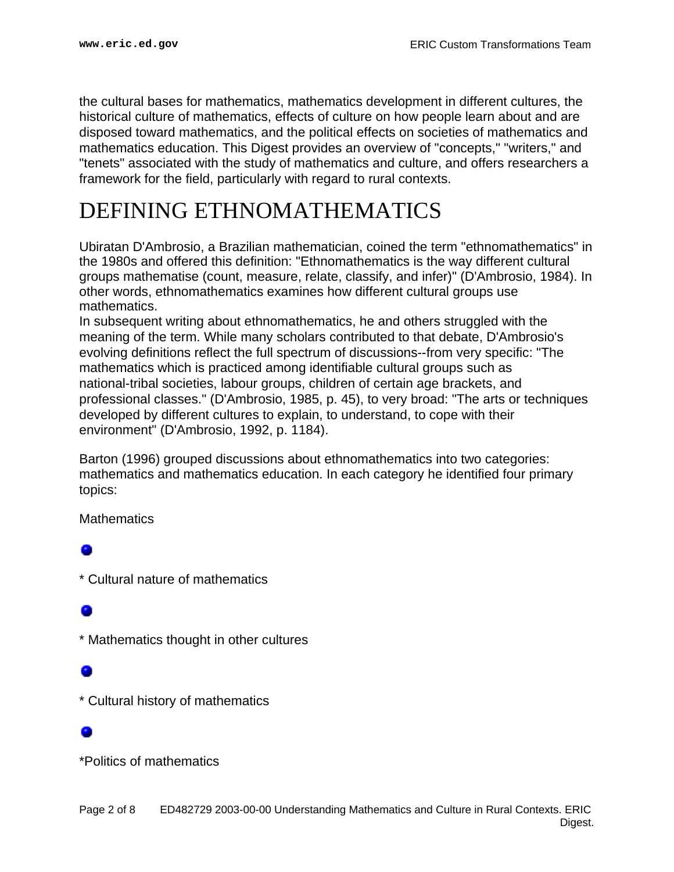the cultural bases for mathematics, mathematics development in different cultures, the historical culture of mathematics, effects of culture on how people learn about and are disposed toward mathematics, and the political effects on societies of mathematics and mathematics education. This Digest provides an overview of "concepts," "writers," and "tenets" associated with the study of mathematics and culture, and offers researchers a framework for the field, particularly with regard to rural contexts.

## <span id="page-1-0"></span>DEFINING ETHNOMATHEMATICS

Ubiratan D'Ambrosio, a Brazilian mathematician, coined the term "ethnomathematics" in the 1980s and offered this definition: "Ethnomathematics is the way different cultural groups mathematise (count, measure, relate, classify, and infer)" (D'Ambrosio, 1984). In other words, ethnomathematics examines how different cultural groups use mathematics.

In subsequent writing about ethnomathematics, he and others struggled with the meaning of the term. While many scholars contributed to that debate, D'Ambrosio's evolving definitions reflect the full spectrum of discussions--from very specific: "The mathematics which is practiced among identifiable cultural groups such as national-tribal societies, labour groups, children of certain age brackets, and professional classes." (D'Ambrosio, 1985, p. 45), to very broad: "The arts or techniques developed by different cultures to explain, to understand, to cope with their environment" (D'Ambrosio, 1992, p. 1184).

Barton (1996) grouped discussions about ethnomathematics into two categories: mathematics and mathematics education. In each category he identified four primary topics:

**Mathematics** 

\* Cultural nature of mathematics

\* Mathematics thought in other cultures

\* Cultural history of mathematics

\*Politics of mathematics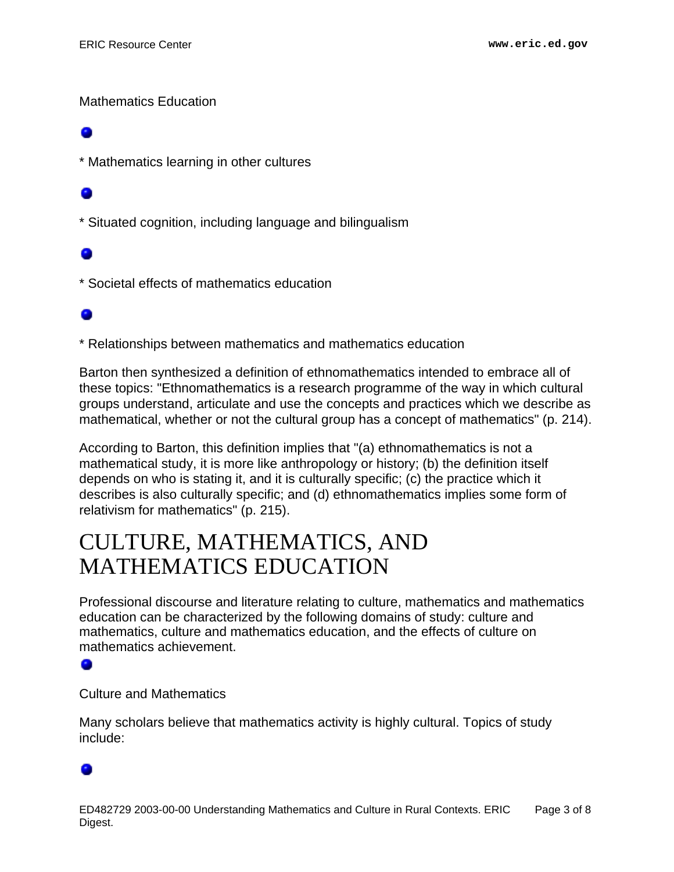### Mathematics Education

\* Mathematics learning in other cultures

\* Situated cognition, including language and bilingualism

\* Societal effects of mathematics education

### ۰

\* Relationships between mathematics and mathematics education

Barton then synthesized a definition of ethnomathematics intended to embrace all of these topics: "Ethnomathematics is a research programme of the way in which cultural groups understand, articulate and use the concepts and practices which we describe as mathematical, whether or not the cultural group has a concept of mathematics" (p. 214).

According to Barton, this definition implies that "(a) ethnomathematics is not a mathematical study, it is more like anthropology or history; (b) the definition itself depends on who is stating it, and it is culturally specific; (c) the practice which it describes is also culturally specific; and (d) ethnomathematics implies some form of relativism for mathematics" (p. 215).

## <span id="page-2-0"></span>CULTURE, MATHEMATICS, AND MATHEMATICS EDUCATION

Professional discourse and literature relating to culture, mathematics and mathematics education can be characterized by the following domains of study: culture and mathematics, culture and mathematics education, and the effects of culture on mathematics achievement.

Culture and Mathematics

Many scholars believe that mathematics activity is highly cultural. Topics of study include: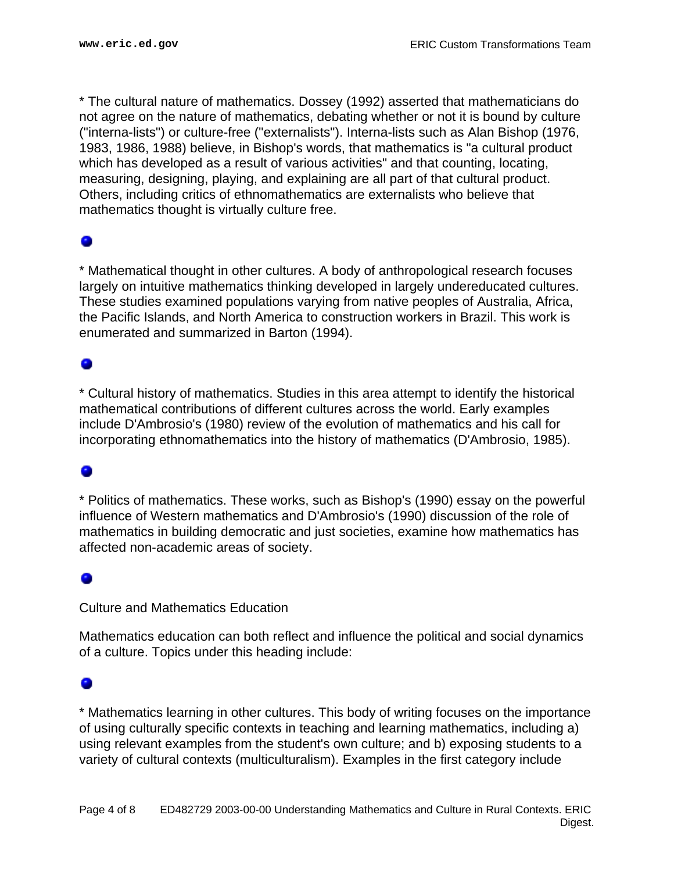\* The cultural nature of mathematics. Dossey (1992) asserted that mathematicians do not agree on the nature of mathematics, debating whether or not it is bound by culture ("interna-lists") or culture-free ("externalists"). Interna-lists such as Alan Bishop (1976, 1983, 1986, 1988) believe, in Bishop's words, that mathematics is "a cultural product which has developed as a result of various activities" and that counting, locating, measuring, designing, playing, and explaining are all part of that cultural product. Others, including critics of ethnomathematics are externalists who believe that mathematics thought is virtually culture free.

### ۰

\* Mathematical thought in other cultures. A body of anthropological research focuses largely on intuitive mathematics thinking developed in largely undereducated cultures. These studies examined populations varying from native peoples of Australia, Africa, the Pacific Islands, and North America to construction workers in Brazil. This work is enumerated and summarized in Barton (1994).

### ۰

\* Cultural history of mathematics. Studies in this area attempt to identify the historical mathematical contributions of different cultures across the world. Early examples include D'Ambrosio's (1980) review of the evolution of mathematics and his call for incorporating ethnomathematics into the history of mathematics (D'Ambrosio, 1985).

### ۰

\* Politics of mathematics. These works, such as Bishop's (1990) essay on the powerful influence of Western mathematics and D'Ambrosio's (1990) discussion of the role of mathematics in building democratic and just societies, examine how mathematics has affected non-academic areas of society.

### ۰

Culture and Mathematics Education

Mathematics education can both reflect and influence the political and social dynamics of a culture. Topics under this heading include:

### ۰

\* Mathematics learning in other cultures. This body of writing focuses on the importance of using culturally specific contexts in teaching and learning mathematics, including a) using relevant examples from the student's own culture; and b) exposing students to a variety of cultural contexts (multiculturalism). Examples in the first category include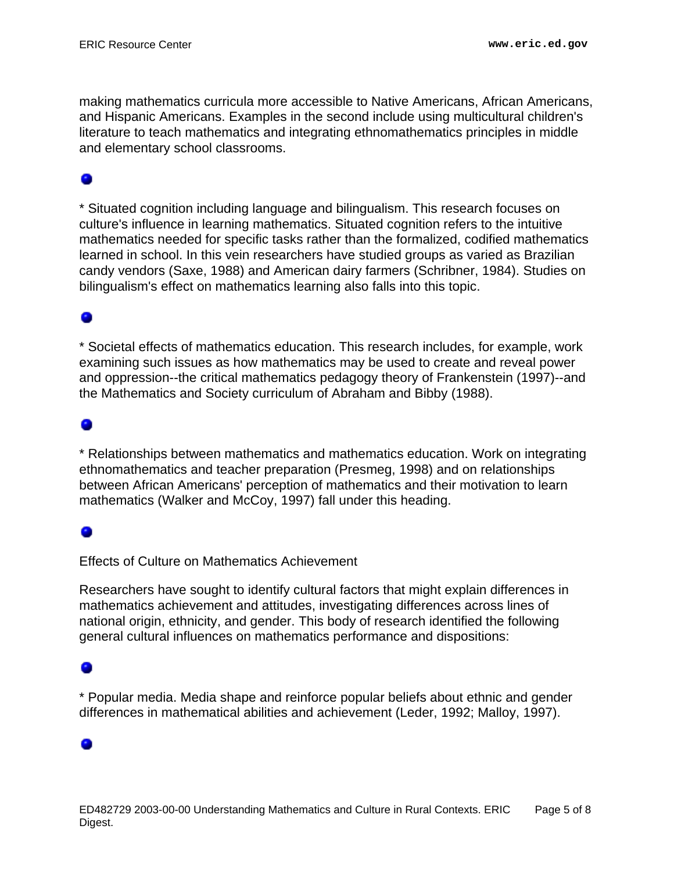making mathematics curricula more accessible to Native Americans, African Americans, and Hispanic Americans. Examples in the second include using multicultural children's literature to teach mathematics and integrating ethnomathematics principles in middle and elementary school classrooms.

\* Situated cognition including language and bilingualism. This research focuses on culture's influence in learning mathematics. Situated cognition refers to the intuitive mathematics needed for specific tasks rather than the formalized, codified mathematics learned in school. In this vein researchers have studied groups as varied as Brazilian candy vendors (Saxe, 1988) and American dairy farmers (Schribner, 1984). Studies on bilingualism's effect on mathematics learning also falls into this topic.

### ۰

\* Societal effects of mathematics education. This research includes, for example, work examining such issues as how mathematics may be used to create and reveal power and oppression--the critical mathematics pedagogy theory of Frankenstein (1997)--and the Mathematics and Society curriculum of Abraham and Bibby (1988).

### ۰

\* Relationships between mathematics and mathematics education. Work on integrating ethnomathematics and teacher preparation (Presmeg, 1998) and on relationships between African Americans' perception of mathematics and their motivation to learn mathematics (Walker and McCoy, 1997) fall under this heading.

### 0

Effects of Culture on Mathematics Achievement

Researchers have sought to identify cultural factors that might explain differences in mathematics achievement and attitudes, investigating differences across lines of national origin, ethnicity, and gender. This body of research identified the following general cultural influences on mathematics performance and dispositions:

\* Popular media. Media shape and reinforce popular beliefs about ethnic and gender differences in mathematical abilities and achievement (Leder, 1992; Malloy, 1997).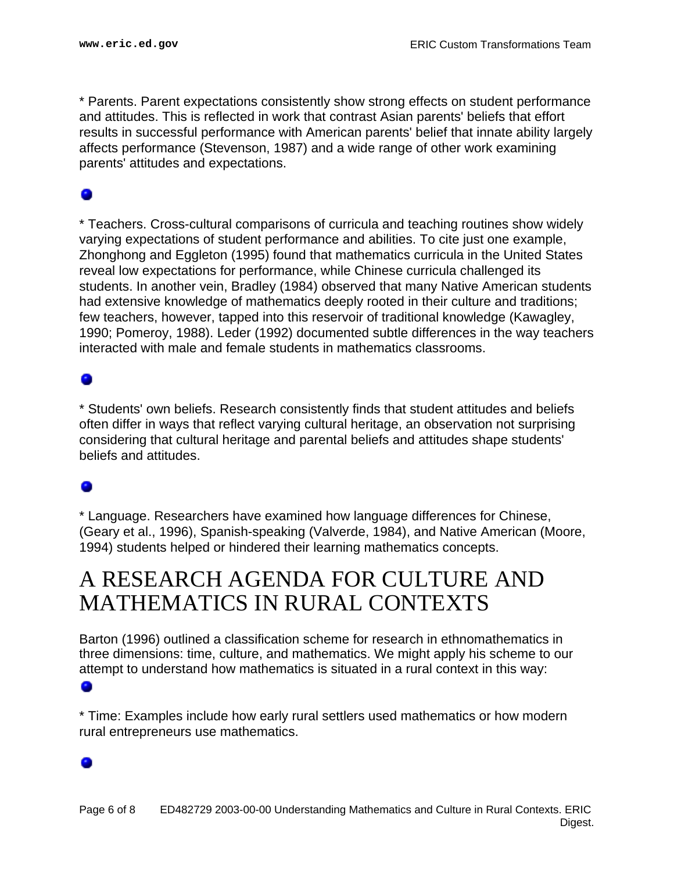\* Parents. Parent expectations consistently show strong effects on student performance and attitudes. This is reflected in work that contrast Asian parents' beliefs that effort results in successful performance with American parents' belief that innate ability largely affects performance (Stevenson, 1987) and a wide range of other work examining parents' attitudes and expectations.

\* Teachers. Cross-cultural comparisons of curricula and teaching routines show widely varying expectations of student performance and abilities. To cite just one example, Zhonghong and Eggleton (1995) found that mathematics curricula in the United States reveal low expectations for performance, while Chinese curricula challenged its students. In another vein, Bradley (1984) observed that many Native American students had extensive knowledge of mathematics deeply rooted in their culture and traditions; few teachers, however, tapped into this reservoir of traditional knowledge (Kawagley, 1990; Pomeroy, 1988). Leder (1992) documented subtle differences in the way teachers interacted with male and female students in mathematics classrooms.

### o

\* Students' own beliefs. Research consistently finds that student attitudes and beliefs often differ in ways that reflect varying cultural heritage, an observation not surprising considering that cultural heritage and parental beliefs and attitudes shape students' beliefs and attitudes.

\* Language. Researchers have examined how language differences for Chinese, (Geary et al., 1996), Spanish-speaking (Valverde, 1984), and Native American (Moore, 1994) students helped or hindered their learning mathematics concepts.

## <span id="page-5-0"></span>A RESEARCH AGENDA FOR CULTURE AND MATHEMATICS IN RURAL CONTEXTS

Barton (1996) outlined a classification scheme for research in ethnomathematics in three dimensions: time, culture, and mathematics. We might apply his scheme to our attempt to understand how mathematics is situated in a rural context in this way:

\* Time: Examples include how early rural settlers used mathematics or how modern rural entrepreneurs use mathematics.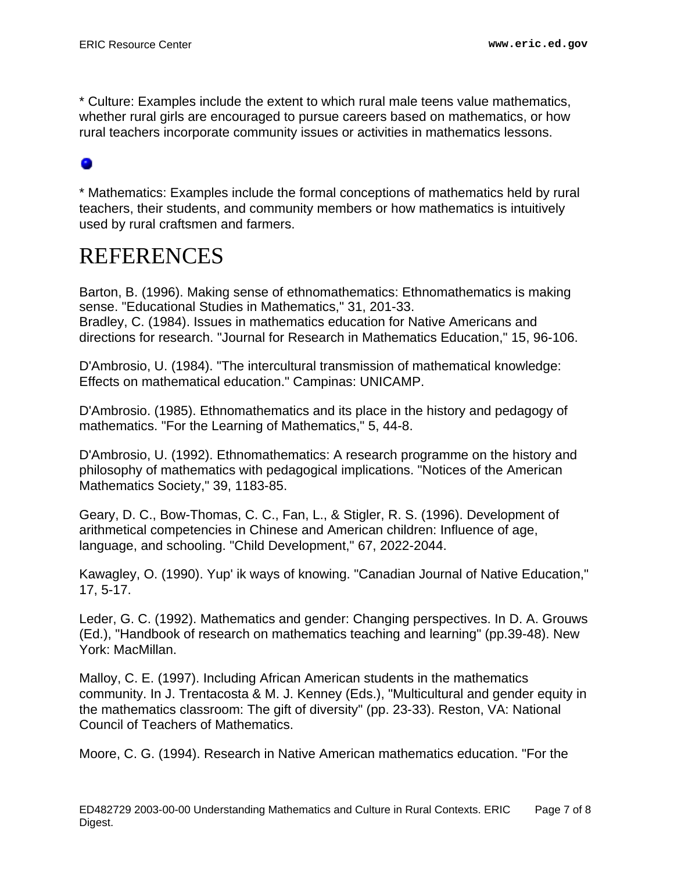\* Culture: Examples include the extent to which rural male teens value mathematics, whether rural girls are encouraged to pursue careers based on mathematics, or how rural teachers incorporate community issues or activities in mathematics lessons.

### ۰

\* Mathematics: Examples include the formal conceptions of mathematics held by rural teachers, their students, and community members or how mathematics is intuitively used by rural craftsmen and farmers.

## <span id="page-6-0"></span>REFERENCES

Barton, B. (1996). Making sense of ethnomathematics: Ethnomathematics is making sense. "Educational Studies in Mathematics," 31, 201-33. Bradley, C. (1984). Issues in mathematics education for Native Americans and directions for research. "Journal for Research in Mathematics Education," 15, 96-106.

D'Ambrosio, U. (1984). "The intercultural transmission of mathematical knowledge: Effects on mathematical education." Campinas: UNICAMP.

D'Ambrosio. (1985). Ethnomathematics and its place in the history and pedagogy of mathematics. "For the Learning of Mathematics," 5, 44-8.

D'Ambrosio, U. (1992). Ethnomathematics: A research programme on the history and philosophy of mathematics with pedagogical implications. "Notices of the American Mathematics Society," 39, 1183-85.

Geary, D. C., Bow-Thomas, C. C., Fan, L., & Stigler, R. S. (1996). Development of arithmetical competencies in Chinese and American children: Influence of age, language, and schooling. "Child Development," 67, 2022-2044.

Kawagley, O. (1990). Yup' ik ways of knowing. "Canadian Journal of Native Education," 17, 5-17.

Leder, G. C. (1992). Mathematics and gender: Changing perspectives. In D. A. Grouws (Ed.), "Handbook of research on mathematics teaching and learning" (pp.39-48). New York: MacMillan.

Malloy, C. E. (1997). Including African American students in the mathematics community. In J. Trentacosta & M. J. Kenney (Eds.), "Multicultural and gender equity in the mathematics classroom: The gift of diversity" (pp. 23-33). Reston, VA: National Council of Teachers of Mathematics.

Moore, C. G. (1994). Research in Native American mathematics education. "For the